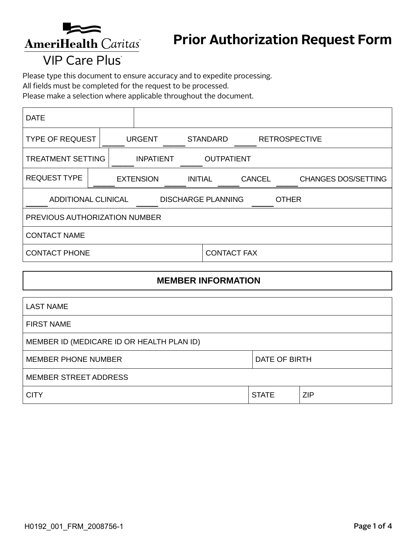

## **Prior Authorization Request Form**

## **VIP Care Plus**

Please type this document to ensure accuracy and to expedite processing.

All fields must be completed for the request to be processed.

Please make a selection where applicable throughout the document.

| <b>DATE</b>                                                             |  |                                    |                   |                    |               |                      |                            |
|-------------------------------------------------------------------------|--|------------------------------------|-------------------|--------------------|---------------|----------------------|----------------------------|
| <b>TYPE OF REQUEST</b>                                                  |  | <b>URGENT</b>                      | <b>STANDARD</b>   |                    |               | <b>RETROSPECTIVE</b> |                            |
| <b>TREATMENT SETTING</b><br><b>INPATIENT</b>                            |  |                                    | <b>OUTPATIENT</b> |                    |               |                      |                            |
| <b>REQUEST TYPE</b>                                                     |  | <b>EXTENSION</b><br><b>INITIAL</b> |                   |                    | <b>CANCEL</b> |                      | <b>CHANGES DOS/SETTING</b> |
| <b>ADDITIONAL CLINICAL</b><br><b>DISCHARGE PLANNING</b><br><b>OTHER</b> |  |                                    |                   |                    |               |                      |                            |
| PREVIOUS AUTHORIZATION NUMBER                                           |  |                                    |                   |                    |               |                      |                            |
| <b>CONTACT NAME</b>                                                     |  |                                    |                   |                    |               |                      |                            |
| <b>CONTACT PHONE</b>                                                    |  |                                    |                   | <b>CONTACT FAX</b> |               |                      |                            |

#### **MEMBER INFORMATION**

| <b>LAST NAME</b>                          |               |            |  |
|-------------------------------------------|---------------|------------|--|
| <b>FIRST NAME</b>                         |               |            |  |
| MEMBER ID (MEDICARE ID OR HEALTH PLAN ID) |               |            |  |
| <b>MEMBER PHONE NUMBER</b>                | DATE OF BIRTH |            |  |
| <b>MEMBER STREET ADDRESS</b>              |               |            |  |
| <b>CITY</b>                               | <b>STATE</b>  | <b>ZIP</b> |  |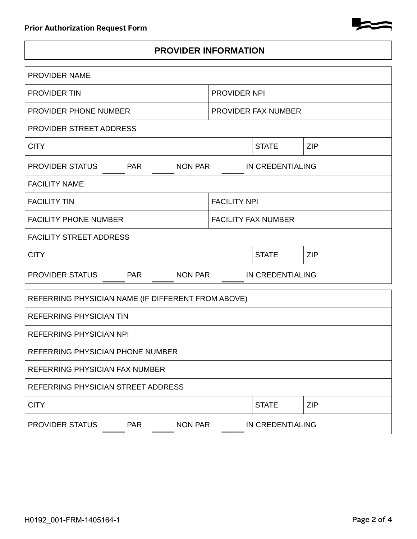

#### **PROVIDER INFORMATION**

| <b>PROVIDER NAME</b>                                   |                            |                  |            |  |  |
|--------------------------------------------------------|----------------------------|------------------|------------|--|--|
| <b>PROVIDER TIN</b>                                    | PROVIDER NPI               |                  |            |  |  |
| <b>PROVIDER PHONE NUMBER</b>                           | PROVIDER FAX NUMBER        |                  |            |  |  |
| PROVIDER STREET ADDRESS                                |                            |                  |            |  |  |
| <b>CITY</b>                                            |                            | <b>STATE</b>     | <b>ZIP</b> |  |  |
| PROVIDER STATUS<br><b>PAR</b><br>NON PAR               | IN CREDENTIALING           |                  |            |  |  |
| <b>FACILITY NAME</b>                                   |                            |                  |            |  |  |
| <b>FACILITY TIN</b>                                    | <b>FACILITY NPI</b>        |                  |            |  |  |
| <b>FACILITY PHONE NUMBER</b>                           | <b>FACILITY FAX NUMBER</b> |                  |            |  |  |
| <b>FACILITY STREET ADDRESS</b>                         |                            |                  |            |  |  |
| <b>CITY</b>                                            |                            | <b>STATE</b>     | <b>ZIP</b> |  |  |
| <b>PROVIDER STATUS</b><br><b>NON PAR</b><br><b>PAR</b> |                            | IN CREDENTIALING |            |  |  |
| REFERRING PHYSICIAN NAME (IF DIFFERENT FROM ABOVE)     |                            |                  |            |  |  |
| <b>REFERRING PHYSICIAN TIN</b>                         |                            |                  |            |  |  |
| <b>REFERRING PHYSICIAN NPI</b>                         |                            |                  |            |  |  |
| REFERRING PHYSICIAN PHONE NUMBER                       |                            |                  |            |  |  |
| REFERRING PHYSICIAN FAX NUMBER                         |                            |                  |            |  |  |
| REFERRING PHYSICIAN STREET ADDRESS                     |                            |                  |            |  |  |
| <b>CITY</b>                                            |                            | <b>STATE</b>     | <b>ZIP</b> |  |  |
| <b>PAR</b><br><b>NON PAR</b><br>PROVIDER STATUS        |                            | IN CREDENTIALING |            |  |  |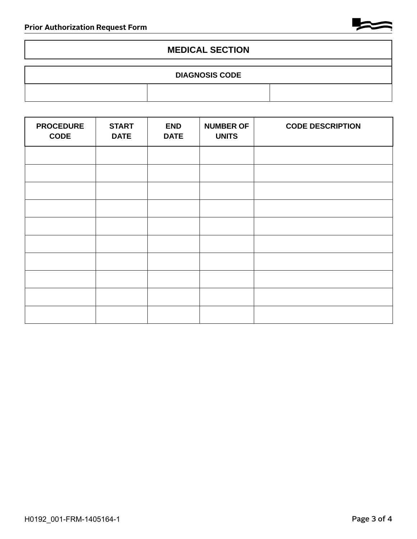

#### **MEDICAL SECTION**

# **DIAGNOSIS CODE**

| <b>PROCEDURE</b><br><b>CODE</b> | <b>START</b><br><b>DATE</b> | <b>END</b><br><b>DATE</b> | <b>NUMBER OF</b><br><b>UNITS</b> | <b>CODE DESCRIPTION</b> |
|---------------------------------|-----------------------------|---------------------------|----------------------------------|-------------------------|
|                                 |                             |                           |                                  |                         |
|                                 |                             |                           |                                  |                         |
|                                 |                             |                           |                                  |                         |
|                                 |                             |                           |                                  |                         |
|                                 |                             |                           |                                  |                         |
|                                 |                             |                           |                                  |                         |
|                                 |                             |                           |                                  |                         |
|                                 |                             |                           |                                  |                         |
|                                 |                             |                           |                                  |                         |
|                                 |                             |                           |                                  |                         |